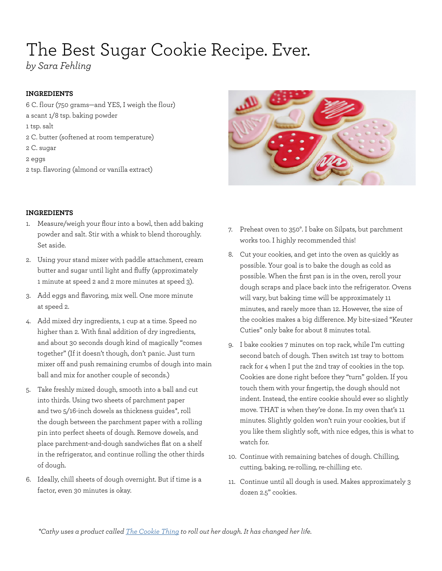# The Best Sugar Cookie Recipe. Ever.

*by Sara Fehling*

### **INGREDIENTS**

- 6 C. flour (750 grams—and YES, I weigh the flour) a scant 1/8 tsp. baking powder 1 tsp. salt 2 C. butter (softened at room temperature) 2 C. sugar 2 eggs
- 2 tsp. flavoring (almond or vanilla extract)

#### **INGREDIENTS**

- 1. Measure/weigh your flour into a bowl, then add baking powder and salt. Stir with a whisk to blend thoroughly. Set aside.
- 2. Using your stand mixer with paddle attachment, cream butter and sugar until light and fluffy (approximately 1 minute at speed 2 and 2 more minutes at speed 3).
- 3. Add eggs and flavoring, mix well. One more minute at speed 2.
- 4. Add mixed dry ingredients, 1 cup at a time. Speed no higher than 2. With final addition of dry ingredients, and about 30 seconds dough kind of magically "comes together" (If it doesn't though, don't panic. Just turn mixer off and push remaining crumbs of dough into main ball and mix for another couple of seconds.)
- 5. Take freshly mixed dough, smooth into a ball and cut into thirds. Using two sheets of parchment paper and two 5/16-inch dowels as thickness guides\*, roll the dough between the parchment paper with a rolling pin into perfect sheets of dough. Remove dowels, and place parchment-and-dough sandwiches flat on a shelf in the refrigerator, and continue rolling the other thirds of dough.
- 6. Ideally, chill sheets of dough overnight. But if time is a factor, even 30 minutes is okay.



- 7. Preheat oven to 350°. I bake on Silpats, but parchment works too. I highly recommended this!
- 8. Cut your cookies, and get into the oven as quickly as possible. Your goal is to bake the dough as cold as possible. When the first pan is in the oven, reroll your dough scraps and place back into the refrigerator. Ovens will vary, but baking time will be approximately 11 minutes, and rarely more than 12. However, the size of the cookies makes a big difference. My bite-sized "Keuter Cuties" only bake for about 8 minutes total.
- 9. I bake cookies 7 minutes on top rack, while I'm cutting second batch of dough. Then switch 1st tray to bottom rack for 4 when I put the 2nd tray of cookies in the top. Cookies are done right before they "turn" golden. If you touch them with your fingertip, the dough should not indent. Instead, the entire cookie should ever so slightly move. THAT is when they're done. In my oven that's 11 minutes. Slightly golden won't ruin your cookies, but if you like them slightly soft, with nice edges, this is what to watch for.
- 10. Continue with remaining batches of dough. Chilling, cutting, baking, re-rolling, re-chilling etc.
- 11. Continue until all dough is used. Makes approximately 3 dozen 2.5" cookies.

*\*Cathy uses a product called [The Cookie Thing](http://cookiething.com) to roll out her dough. It has changed her life.*